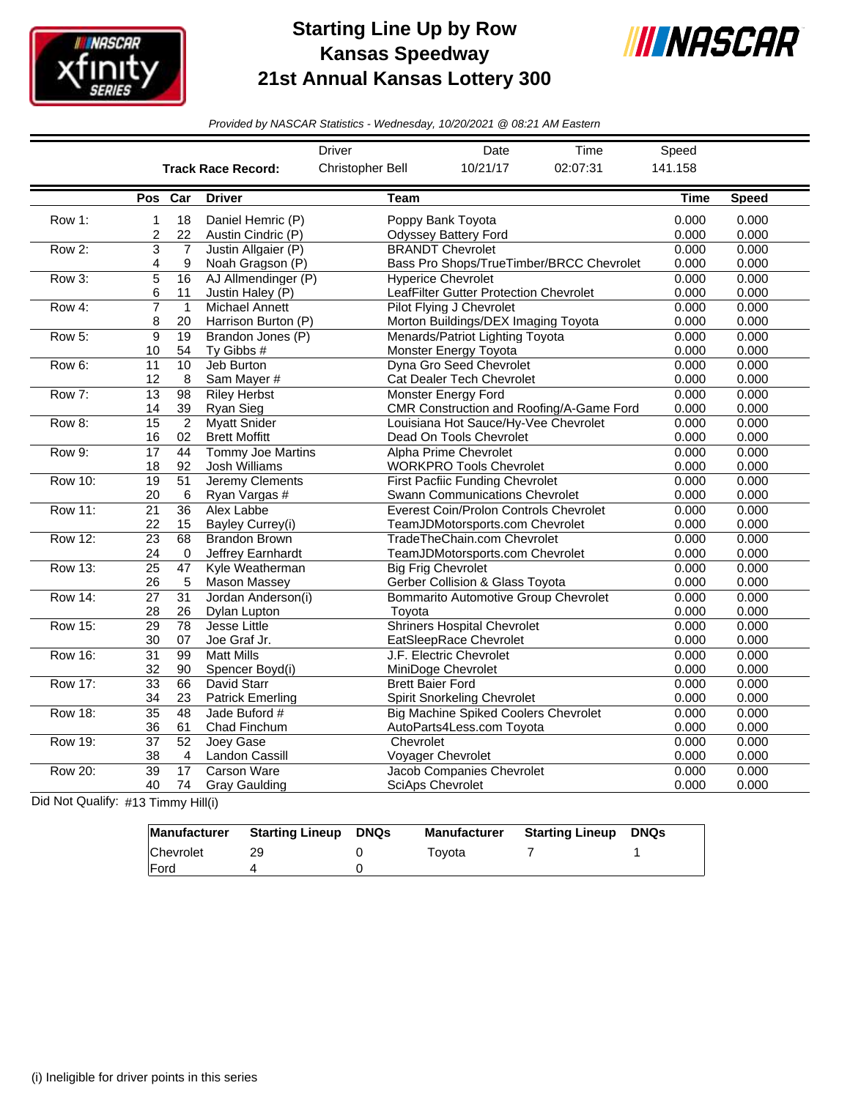

## **Starting Line Up by Row Kansas Speedway 21st Annual Kansas Lottery 300**



*Provided by NASCAR Statistics - Wednesday, 10/20/2021 @ 08:21 AM Eastern*

|                |                 |                 |                           | <b>Driver</b>           | Date                                        | Time                                     | Speed          |              |
|----------------|-----------------|-----------------|---------------------------|-------------------------|---------------------------------------------|------------------------------------------|----------------|--------------|
|                |                 |                 | <b>Track Race Record:</b> | Christopher Bell        | 10/21/17                                    | 02:07:31                                 | 141.158        |              |
|                | Pos             | Car             | <b>Driver</b>             | <b>Team</b>             |                                             |                                          | <b>Time</b>    | <b>Speed</b> |
| Row 1:         | 1               | 18              | Daniel Hemric (P)         |                         | Poppy Bank Toyota                           |                                          | 0.000          | 0.000        |
|                | 2               | 22              | Austin Cindric (P)        |                         | <b>Odyssey Battery Ford</b>                 |                                          | 0.000          | 0.000        |
| Row 2:         | $\overline{3}$  | $\overline{7}$  | Justin Allgaier (P)       |                         | <b>BRANDT Chevrolet</b>                     |                                          | 0.000          | 0.000        |
|                | 4               | 9               | Noah Gragson (P)          |                         |                                             | Bass Pro Shops/TrueTimber/BRCC Chevrolet | 0.000          | 0.000        |
| Row 3:         | 5               | 16              | AJ Allmendinger (P)       |                         | <b>Hyperice Chevrolet</b>                   |                                          | 0.000          | 0.000        |
|                | 6               | 11              | Justin Haley (P)          |                         | LeafFilter Gutter Protection Chevrolet      |                                          | 0.000<br>0.000 | 0.000        |
| Row 4:         | 7               | $\mathbf{1}$    | Michael Annett            |                         | Pilot Flying J Chevrolet                    |                                          |                | 0.000        |
|                | 8               | 20              | Harrison Burton (P)       |                         | Morton Buildings/DEX Imaging Toyota         |                                          | 0.000<br>0.000 | 0.000        |
| Row 5:         | 9               | 19              | Brandon Jones (P)         |                         | Menards/Patriot Lighting Toyota             |                                          |                | 0.000        |
|                | 10              | 54              | Ty Gibbs #                |                         | Monster Energy Toyota                       |                                          | 0.000          | 0.000        |
| Row 6:         | 11              | $\overline{10}$ | Jeb Burton                |                         | Dyna Gro Seed Chevrolet                     |                                          | 0.000          | 0.000        |
|                | 12              | 8               | Sam Mayer #               |                         | Cat Dealer Tech Chevrolet                   |                                          | 0.000          | 0.000        |
| Row 7:         | 13              | 98              | <b>Riley Herbst</b>       |                         | <b>Monster Energy Ford</b>                  |                                          | 0.000          | 0.000        |
|                | 14              | 39              | Ryan Sieg                 |                         |                                             | CMR Construction and Roofing/A-Game Ford | 0.000          | 0.000        |
| Row 8:         | $\overline{15}$ | $\overline{2}$  | <b>Myatt Snider</b>       |                         | Louisiana Hot Sauce/Hy-Vee Chevrolet        |                                          | 0.000          | 0.000        |
|                | 16              | 02              | <b>Brett Moffitt</b>      |                         | Dead On Tools Chevrolet                     |                                          | 0.000          | 0.000        |
| Row 9:         | $\overline{17}$ | $\overline{44}$ | <b>Tommy Joe Martins</b>  |                         | Alpha Prime Chevrolet                       |                                          | 0.000          | 0.000        |
|                | 18              | 92              | Josh Williams             |                         | <b>WORKPRO Tools Chevrolet</b>              |                                          | 0.000          | 0.000        |
| <b>Row 10:</b> | $\overline{19}$ | $\overline{51}$ | Jeremy Clements           |                         | <b>First Pacfiic Funding Chevrolet</b>      |                                          | 0.000          | 0.000        |
|                | 20              | 6               | Ryan Vargas #             |                         | Swann Communications Chevrolet              |                                          | 0.000          | 0.000        |
| <b>Row 11:</b> | $\overline{21}$ | $\overline{36}$ | Alex Labbe                |                         | Everest Coin/Prolon Controls Chevrolet      |                                          | 0.000          | 0.000        |
|                | 22              | 15              | Bayley Currey(i)          |                         | TeamJDMotorsports.com Chevrolet             |                                          | 0.000          | 0.000        |
| <b>Row 12:</b> | $\overline{23}$ | 68              | <b>Brandon Brown</b>      |                         | TradeTheChain.com Chevrolet                 |                                          | 0.000          | 0.000        |
|                | 24              | $\Omega$        | Jeffrey Earnhardt         |                         | TeamJDMotorsports.com Chevrolet             |                                          | 0.000          | 0.000        |
| Row 13:        | 25              | 47              | Kyle Weatherman           |                         | <b>Big Frig Chevrolet</b>                   |                                          | 0.000          | 0.000        |
|                | 26              | 5               | <b>Mason Massey</b>       |                         | Gerber Collision & Glass Toyota             |                                          | 0.000          | 0.000        |
| <b>Row 14:</b> | $\overline{27}$ | 31              | Jordan Anderson(i)        |                         | <b>Bommarito Automotive Group Chevrolet</b> |                                          | 0.000          | 0.000        |
|                | 28              | 26              | Dylan Lupton              | Toyota                  |                                             |                                          | 0.000          | 0.000        |
| <b>Row 15:</b> | 29              | 78              | Jesse Little              |                         | <b>Shriners Hospital Chevrolet</b>          |                                          | 0.000          | 0.000        |
|                | 30              | 07              | Joe Graf Jr.              |                         | EatSleepRace Chevrolet                      |                                          | 0.000          | 0.000        |
| <b>Row 16:</b> | $\overline{31}$ | 99              | <b>Matt Mills</b>         |                         | J.F. Electric Chevrolet                     |                                          | 0.000          | 0.000        |
|                | 32              | 90              | Spencer Boyd(i)           |                         | MiniDoge Chevrolet                          |                                          | 0.000          | 0.000        |
| <b>Row 17:</b> | 33              | 66              | David Starr               | <b>Brett Baier Ford</b> |                                             |                                          | 0.000          | 0.000        |
|                | 34              | 23              | <b>Patrick Emerling</b>   |                         | <b>Spirit Snorkeling Chevrolet</b>          |                                          | 0.000          | 0.000        |
| <b>Row 18:</b> | $\overline{35}$ | 48              | Jade Buford #             |                         | <b>Big Machine Spiked Coolers Chevrolet</b> |                                          | 0.000          | 0.000        |
|                | 36              | 61              | Chad Finchum              |                         | AutoParts4Less.com Toyota                   |                                          | 0.000          | 0.000        |
| Row 19:        | $\overline{37}$ | $\overline{52}$ | Joey Gase                 | Chevrolet               |                                             |                                          | 0.000          | 0.000        |
|                | 38              | $\overline{4}$  | Landon Cassill            |                         | <b>Voyager Chevrolet</b>                    |                                          | 0.000          | 0.000        |
| <b>Row 20:</b> | $\overline{39}$ | 17              | <b>Carson Ware</b>        |                         | Jacob Companies Chevrolet                   |                                          | 0.000          | 0.000        |
|                | 40              | 74              | <b>Gray Gaulding</b>      |                         | <b>SciAps Chevrolet</b>                     |                                          | 0.000          | 0.000        |

Did Not Qualify: #13 Timmy Hill(i)

| Manufacturer | Starting Lineup | DNQs | <b>Manufacturer</b> | <b>Starting Lineup</b> | <b>DNQs</b> |
|--------------|-----------------|------|---------------------|------------------------|-------------|
| Chevrolet    | 29              |      | Tovota              |                        |             |
| <b>IFord</b> |                 |      |                     |                        |             |